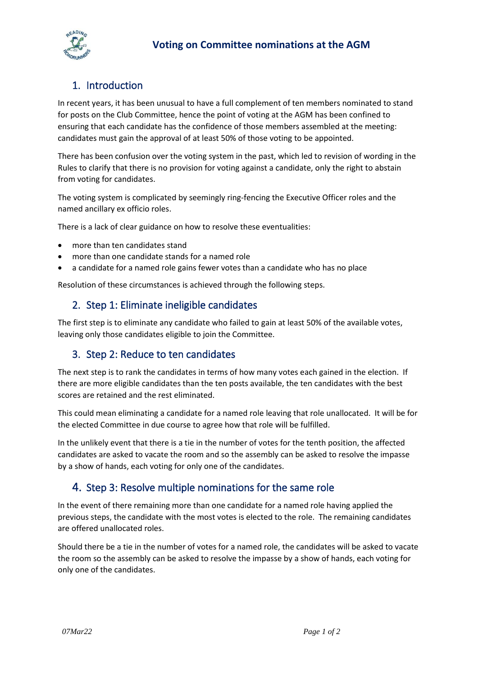



# 1. Introduction

In recent years, it has been unusual to have a full complement of ten members nominated to stand for posts on the Club Committee, hence the point of voting at the AGM has been confined to ensuring that each candidate has the confidence of those members assembled at the meeting: candidates must gain the approval of at least 50% of those voting to be appointed.

There has been confusion over the voting system in the past, which led to revision of wording in the Rules to clarify that there is no provision for voting against a candidate, only the right to abstain from voting for candidates.

The voting system is complicated by seemingly ring-fencing the Executive Officer roles and the named ancillary ex officio roles.

There is a lack of clear guidance on how to resolve these eventualities:

- more than ten candidates stand
- more than one candidate stands for a named role
- a candidate for a named role gains fewer votes than a candidate who has no place

Resolution of these circumstances is achieved through the following steps.

### 2. Step 1: Eliminate ineligible candidates

The first step is to eliminate any candidate who failed to gain at least 50% of the available votes, leaving only those candidates eligible to join the Committee.

### 3. Step 2: Reduce to ten candidates

The next step is to rank the candidates in terms of how many votes each gained in the election. If there are more eligible candidates than the ten posts available, the ten candidates with the best scores are retained and the rest eliminated.

This could mean eliminating a candidate for a named role leaving that role unallocated. It will be for the elected Committee in due course to agree how that role will be fulfilled.

In the unlikely event that there is a tie in the number of votes for the tenth position, the affected candidates are asked to vacate the room and so the assembly can be asked to resolve the impasse by a show of hands, each voting for only one of the candidates.

### 4. Step 3: Resolve multiple nominations for the same role

In the event of there remaining more than one candidate for a named role having applied the previous steps, the candidate with the most votes is elected to the role. The remaining candidates are offered unallocated roles.

Should there be a tie in the number of votes for a named role, the candidates will be asked to vacate the room so the assembly can be asked to resolve the impasse by a show of hands, each voting for only one of the candidates.